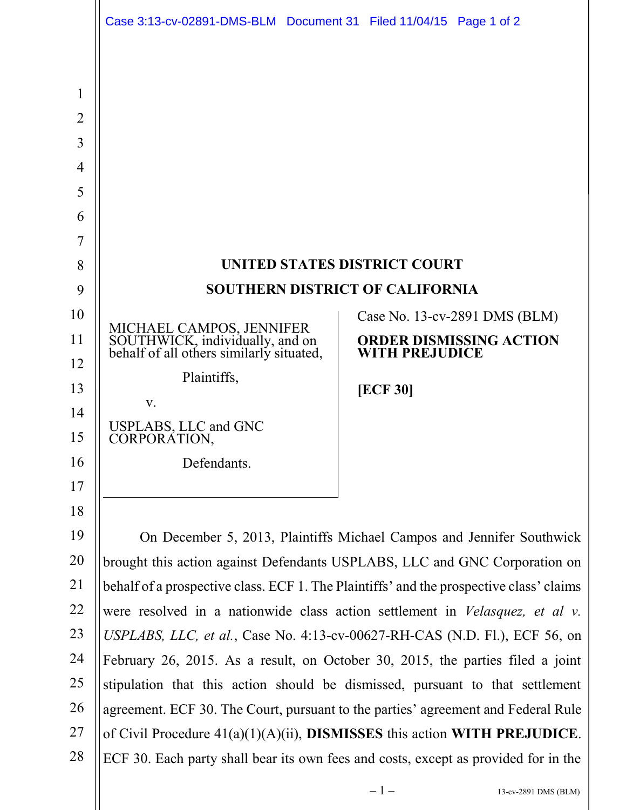<span id="page-0-0"></span>

|                                | Case 3:13-cv-02891-DMS-BLM Document 31 Filed 11/04/15 Page 1 of 2                                                                                                   |                                                  |
|--------------------------------|---------------------------------------------------------------------------------------------------------------------------------------------------------------------|--------------------------------------------------|
|                                |                                                                                                                                                                     |                                                  |
|                                |                                                                                                                                                                     |                                                  |
| $\mathbf{1}$<br>$\overline{2}$ |                                                                                                                                                                     |                                                  |
| $\overline{3}$                 |                                                                                                                                                                     |                                                  |
| $\overline{4}$                 |                                                                                                                                                                     |                                                  |
| 5                              |                                                                                                                                                                     |                                                  |
| 6                              |                                                                                                                                                                     |                                                  |
| 7                              |                                                                                                                                                                     |                                                  |
| 8                              | UNITED STATES DISTRICT COURT                                                                                                                                        |                                                  |
| 9                              | <b>SOUTHERN DISTRICT OF CALIFORNIA</b>                                                                                                                              |                                                  |
| 10                             |                                                                                                                                                                     | Case No. 13-cv-2891 DMS (BLM)                    |
| 11                             | MICHAEL CAMPOS, JENNIFER<br>SOUTHWICK, individually, and on<br>behalf of all others similarly situated,                                                             | ORDER DISMISSING ACTION<br><b>WITH PREJUDICE</b> |
| 12<br>13                       | Plaintiffs,                                                                                                                                                         |                                                  |
| 14                             | V.                                                                                                                                                                  | <b>[ECF 30]</b>                                  |
| 15                             | USPLABS, LLC and GNC<br>CORPORATION,                                                                                                                                |                                                  |
| 16                             | Defendants.                                                                                                                                                         |                                                  |
| 17                             |                                                                                                                                                                     |                                                  |
| 18                             |                                                                                                                                                                     |                                                  |
| 19                             | On December 5, 2013, Plaintiffs Michael Campos and Jennifer Southwick                                                                                               |                                                  |
| 20                             | brought this action against Defendants USPLABS, LLC and GNC Corporation on                                                                                          |                                                  |
| 21                             | behalf of a prospective class. ECF 1. The Plaintiffs' and the prospective class' claims                                                                             |                                                  |
| 22                             | were resolved in a nationwide class action settlement in <i>Velasquez</i> , <i>et al v.</i>                                                                         |                                                  |
| 23                             | USPLABS, LLC, et al., Case No. 4:13-cv-00627-RH-CAS (N.D. Fl.), ECF 56, on                                                                                          |                                                  |
| 24                             | February 26, 2015. As a result, on October 30, 2015, the parties filed a joint                                                                                      |                                                  |
| 25                             | stipulation that this action should be dismissed, pursuant to that settlement                                                                                       |                                                  |
| 26<br>27                       | agreement. ECF 30. The Court, pursuant to the parties' agreement and Federal Rule                                                                                   |                                                  |
| 28                             | of Civil Procedure $41(a)(1)(A)(ii)$ , DISMISSES this action WITH PREJUDICE.<br>ECF 30. Each party shall bear its own fees and costs, except as provided for in the |                                                  |
|                                |                                                                                                                                                                     |                                                  |

 $\blacksquare$